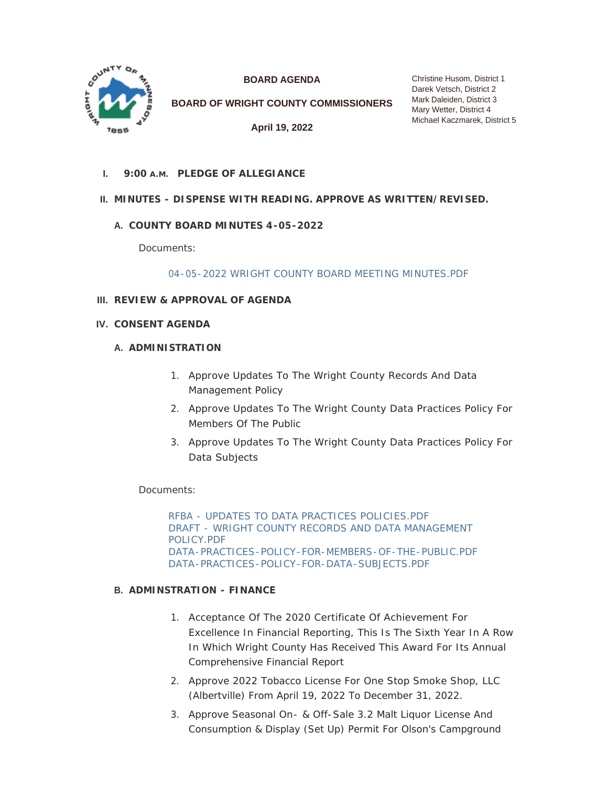

**BOARD AGENDA**

**BOARD OF WRIGHT COUNTY COMMISSIONERS**

**April 19, 2022**

Christine Husom, District 1 Darek Vetsch, District 2 Mark Daleiden, District 3 Mary Wetter, District 4 Michael Kaczmarek, District 5

**PLEDGE OF ALLEGIANCE I. 9:00 A.M.**

# **MINUTES - DISPENSE WITH READING. APPROVE AS WRITTEN/REVISED. II.**

# **COUNTY BOARD MINUTES 4-05-2022 A.**

Documents:

[04-05-2022 WRIGHT COUNTY BOARD MEETING MINUTES.PDF](https://www.co.wright.mn.us/AgendaCenter/ViewFile/Item/10532?fileID=22906)

- **REVIEW & APPROVAL OF AGENDA III.**
- **CONSENT AGENDA IV.**

#### **A. ADMINISTRATION**

- 1. Approve Updates To The Wright County Records And Data Management Policy
- 2. Approve Updates To The Wright County Data Practices Policy For Members Of The Public
- 3. Approve Updates To The Wright County Data Practices Policy For Data Subjects

Documents:

[RFBA - UPDATES TO DATA PRACTICES POLICIES.PDF](https://www.co.wright.mn.us/AgendaCenter/ViewFile/Item/10559?fileID=22920) [DRAFT - WRIGHT COUNTY RECORDS AND DATA MANAGEMENT](https://www.co.wright.mn.us/AgendaCenter/ViewFile/Item/10559?fileID=22919)  POLICY.PDF [DATA-PRACTICES-POLICY-FOR-MEMBERS-OF-THE-PUBLIC.PDF](https://www.co.wright.mn.us/AgendaCenter/ViewFile/Item/10559?fileID=22917) [DATA-PRACTICES-POLICY-FOR-DATA-SUBJECTS.PDF](https://www.co.wright.mn.us/AgendaCenter/ViewFile/Item/10559?fileID=22918)

#### **ADMINSTRATION - FINANCE B.**

- 1. Acceptance Of The 2020 Certificate Of Achievement For Excellence In Financial Reporting, This Is The Sixth Year In A Row In Which Wright County Has Received This Award For Its Annual Comprehensive Financial Report
- 2. Approve 2022 Tobacco License For One Stop Smoke Shop, LLC (Albertville) From April 19, 2022 To December 31, 2022.
- 3. Approve Seasonal On- & Off-Sale 3.2 Malt Liquor License And Consumption & Display (Set Up) Permit For Olson's Campground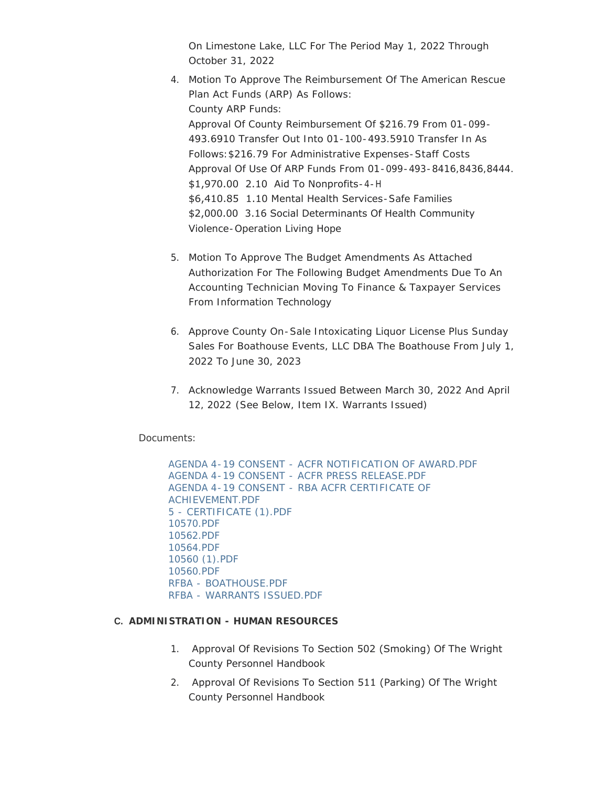On Limestone Lake, LLC For The Period May 1, 2022 Through October 31, 2022

- 4. Motion To Approve The Reimbursement Of The American Rescue Plan Act Funds (ARP) As Follows: County ARP Funds: Approval Of County Reimbursement Of \$216.79 From 01-099- 493.6910 Transfer Out Into 01-100-493.5910 Transfer In As Follows:\$216.79 For Administrative Expenses-Staff Costs Approval Of Use Of ARP Funds From 01-099-493-8416,8436,8444. \$1,970.00 2.10 Aid To Nonprofits-4-H \$6,410.85 1.10 Mental Health Services-Safe Families \$2,000.00 3.16 Social Determinants Of Health Community Violence-Operation Living Hope
- 5. Motion To Approve The Budget Amendments As Attached Authorization For The Following Budget Amendments Due To An Accounting Technician Moving To Finance & Taxpayer Services From Information Technology
- 6. Approve County On-Sale Intoxicating Liquor License Plus Sunday Sales For Boathouse Events, LLC DBA The Boathouse From July 1, 2022 To June 30, 2023
- 7. Acknowledge Warrants Issued Between March 30, 2022 And April 12, 2022 *(See Below, Item IX. Warrants Issued)*

Documents:

[AGENDA 4-19 CONSENT - ACFR NOTIFICATION OF AWARD.PDF](https://www.co.wright.mn.us/AgendaCenter/ViewFile/Item/10535?fileID=22900) [AGENDA 4-19 CONSENT - ACFR PRESS RELEASE.PDF](https://www.co.wright.mn.us/AgendaCenter/ViewFile/Item/10535?fileID=22901) [AGENDA 4-19 CONSENT - RBA ACFR CERTIFICATE OF](https://www.co.wright.mn.us/AgendaCenter/ViewFile/Item/10535?fileID=22902)  ACHIEVEMENT.PDF [5 - CERTIFICATE \(1\).PDF](https://www.co.wright.mn.us/AgendaCenter/ViewFile/Item/10535?fileID=22903) [10570.PDF](https://www.co.wright.mn.us/AgendaCenter/ViewFile/Item/10535?fileID=22957) [10562.PDF](https://www.co.wright.mn.us/AgendaCenter/ViewFile/Item/10535?fileID=22956) [10564.PDF](https://www.co.wright.mn.us/AgendaCenter/ViewFile/Item/10535?fileID=22960) [10560 \(1\).PDF](https://www.co.wright.mn.us/AgendaCenter/ViewFile/Item/10535?fileID=22958) [10560.PDF](https://www.co.wright.mn.us/AgendaCenter/ViewFile/Item/10535?fileID=22959) [RFBA - BOATHOUSE.PDF](https://www.co.wright.mn.us/AgendaCenter/ViewFile/Item/10535?fileID=22974) [RFBA - WARRANTS ISSUED.PDF](https://www.co.wright.mn.us/AgendaCenter/ViewFile/Item/10535?fileID=22975)

# **ADMINISTRATION - HUMAN RESOURCES C.**

- 1. Approval Of Revisions To Section 502 (Smoking) Of The Wright County Personnel Handbook
- 2. Approval Of Revisions To Section 511 (Parking) Of The Wright County Personnel Handbook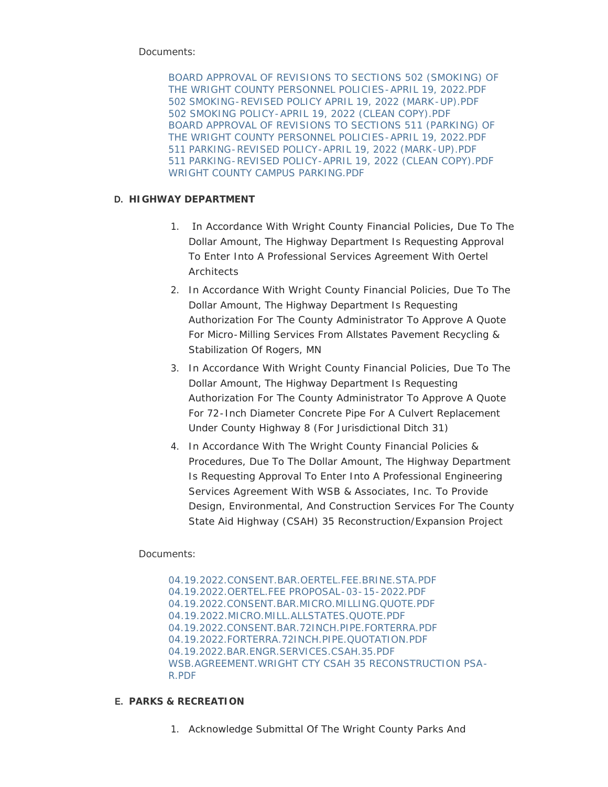Documents:

[BOARD APPROVAL OF REVISIONS TO SECTIONS 502 \(SMOKING\) OF](https://www.co.wright.mn.us/AgendaCenter/ViewFile/Item/10563?fileID=22930)  THE WRIGHT COUNTY PERSONNEL POLICIES-APRIL 19, 2022.PDF [502 SMOKING-REVISED POLICY APRIL 19, 2022 \(MARK-UP\).PDF](https://www.co.wright.mn.us/AgendaCenter/ViewFile/Item/10563?fileID=22926) [502 SMOKING POLICY-APRIL 19, 2022 \(CLEAN COPY\).PDF](https://www.co.wright.mn.us/AgendaCenter/ViewFile/Item/10563?fileID=22927) [BOARD APPROVAL OF REVISIONS TO SECTIONS 511 \(PARKING\) OF](https://www.co.wright.mn.us/AgendaCenter/ViewFile/Item/10563?fileID=22931)  THE WRIGHT COUNTY PERSONNEL POLICIES-APRIL 19, 2022.PDF [511 PARKING-REVISED POLICY-APRIL 19, 2022 \(MARK-UP\).PDF](https://www.co.wright.mn.us/AgendaCenter/ViewFile/Item/10563?fileID=22928) [511 PARKING-REVISED POLICY-APRIL 19, 2022 \(CLEAN COPY\).PDF](https://www.co.wright.mn.us/AgendaCenter/ViewFile/Item/10563?fileID=22929) [WRIGHT COUNTY CAMPUS PARKING.PDF](https://www.co.wright.mn.us/AgendaCenter/ViewFile/Item/10563?fileID=22986)

# **HIGHWAY DEPARTMENT D.**

- 1. In Accordance With Wright County Financial Policies, Due To The Dollar Amount, The Highway Department Is Requesting Approval To Enter Into A Professional Services Agreement With Oertel **Architects**
- 2. In Accordance With Wright County Financial Policies, Due To The Dollar Amount, The Highway Department Is Requesting Authorization For The County Administrator To Approve A Quote For Micro-Milling Services From Allstates Pavement Recycling & Stabilization Of Rogers, MN
- 3. In Accordance With Wright County Financial Policies, Due To The Dollar Amount, The Highway Department Is Requesting Authorization For The County Administrator To Approve A Quote For 72-Inch Diameter Concrete Pipe For A Culvert Replacement Under County Highway 8 (For Jurisdictional Ditch 31)
- 4. In Accordance With The Wright County Financial Policies & Procedures, Due To The Dollar Amount, The Highway Department Is Requesting Approval To Enter Into A Professional Engineering Services Agreement With WSB & Associates, Inc. To Provide Design, Environmental, And Construction Services For The County State Aid Highway (CSAH) 35 Reconstruction/Expansion Project

# Documents:

[04.19.2022.CONSENT.BAR.OERTEL.FEE.BRINE.STA.PDF](https://www.co.wright.mn.us/AgendaCenter/ViewFile/Item/10565?fileID=22935) [04.19.2022.OERTEL.FEE PROPOSAL-03-15-2022.PDF](https://www.co.wright.mn.us/AgendaCenter/ViewFile/Item/10565?fileID=22938) [04.19.2022.CONSENT.BAR.MICRO.MILLING.QUOTE.PDF](https://www.co.wright.mn.us/AgendaCenter/ViewFile/Item/10565?fileID=22934) [04.19.2022.MICRO.MILL.ALLSTATES.QUOTE.PDF](https://www.co.wright.mn.us/AgendaCenter/ViewFile/Item/10565?fileID=22937) [04.19.2022.CONSENT.BAR.72INCH.PIPE.FORTERRA.PDF](https://www.co.wright.mn.us/AgendaCenter/ViewFile/Item/10565?fileID=22933) [04.19.2022.FORTERRA.72INCH.PIPE.QUOTATION.PDF](https://www.co.wright.mn.us/AgendaCenter/ViewFile/Item/10565?fileID=22936) [04.19.2022.BAR.ENGR.SERVICES.CSAH.35.PDF](https://www.co.wright.mn.us/AgendaCenter/ViewFile/Item/10565?fileID=22954) [WSB.AGREEMENT.WRIGHT CTY CSAH 35 RECONSTRUCTION PSA-](https://www.co.wright.mn.us/AgendaCenter/ViewFile/Item/10565?fileID=22955)R.PDF

# **PARKS & RECREATION E.**

1. Acknowledge Submittal Of The Wright County Parks And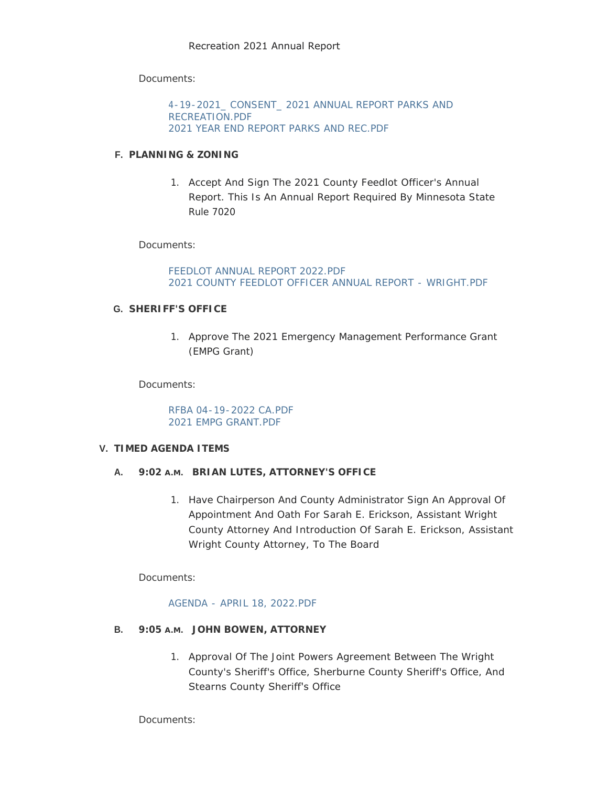Documents:

[4-19-2021\\_ CONSENT\\_ 2021 ANNUAL REPORT PARKS AND](https://www.co.wright.mn.us/AgendaCenter/ViewFile/Item/10567?fileID=22941)  RECREATION.PDF [2021 YEAR END REPORT PARKS AND REC.PDF](https://www.co.wright.mn.us/AgendaCenter/ViewFile/Item/10567?fileID=22942)

### **PLANNING & ZONING F.**

1. Accept And Sign The 2021 County Feedlot Officer's Annual Report. This Is An Annual Report Required By Minnesota State Rule 7020

Documents:

FEEDLOT ANNUAL REPORT 2022 PDF [2021 COUNTY FEEDLOT OFFICER ANNUAL REPORT - WRIGHT.PDF](https://www.co.wright.mn.us/AgendaCenter/ViewFile/Item/10534?fileID=22899)

# **SHERIFF'S OFFICE G.**

1. Approve The 2021 Emergency Management Performance Grant (EMPG Grant)

Documents:

[RFBA 04-19-2022 CA.PDF](https://www.co.wright.mn.us/AgendaCenter/ViewFile/Item/10536?fileID=22904) [2021 EMPG GRANT.PDF](https://www.co.wright.mn.us/AgendaCenter/ViewFile/Item/10536?fileID=22905)

#### **TIMED AGENDA ITEMS V.**

# **BRIAN LUTES, ATTORNEY'S OFFICE A. 9:02 A.M.**

1. Have Chairperson And County Administrator Sign An Approval Of Appointment And Oath For Sarah E. Erickson, Assistant Wright County Attorney And Introduction Of Sarah E. Erickson, Assistant Wright County Attorney, To The Board

Documents:

# [AGENDA - APRIL 18, 2022.PDF](https://www.co.wright.mn.us/AgendaCenter/ViewFile/Item/10512?fileID=22862)

- **B.** 9:05 A.M. JOHN BOWEN, ATTORNEY
	- 1. Approval Of The Joint Powers Agreement Between The Wright County's Sheriff's Office, Sherburne County Sheriff's Office, And Stearns County Sheriff's Office

Documents: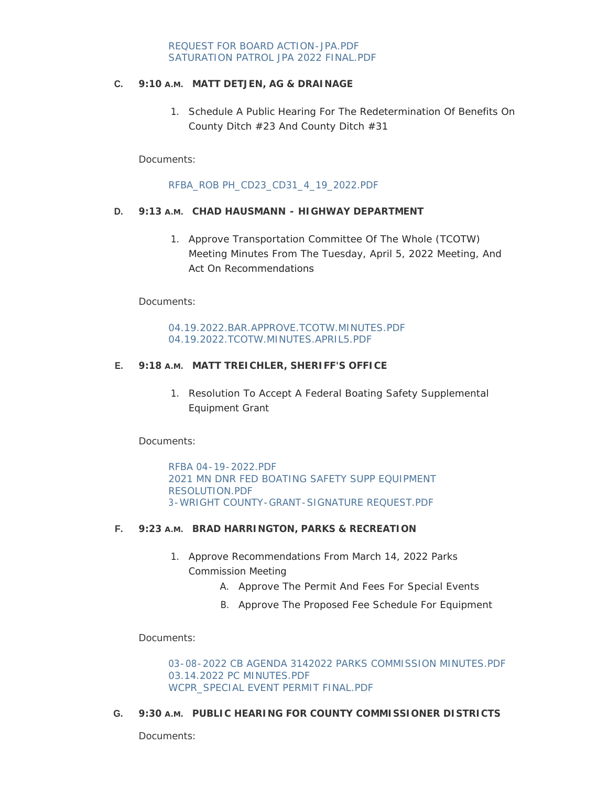### **MATT DETJEN, AG & DRAINAGE C. 9:10 A.M.**

1. Schedule A Public Hearing For The Redetermination Of Benefits On County Ditch #23 And County Ditch #31

Documents:

### [RFBA\\_ROB PH\\_CD23\\_CD31\\_4\\_19\\_2022.PDF](https://www.co.wright.mn.us/AgendaCenter/ViewFile/Item/10571?fileID=22947)

# **D.** 9:13 A.M. CHAD HAUSMANN - HIGHWAY DEPARTMENT

1. Approve Transportation Committee Of The Whole (TCOTW) Meeting Minutes From The Tuesday, April 5, 2022 Meeting, And Act On Recommendations

Documents:

### [04.19.2022.BAR.APPROVE.TCOTW.MINUTES.PDF](https://www.co.wright.mn.us/AgendaCenter/ViewFile/Item/10566?fileID=22939) [04.19.2022.TCOTW.MINUTES.APRIL5.PDF](https://www.co.wright.mn.us/AgendaCenter/ViewFile/Item/10566?fileID=22940)

### **MATT TREICHLER, SHERIFF'S OFFICE E. 9:18 A.M.**

1. Resolution To Accept A Federal Boating Safety Supplemental Equipment Grant

Documents:

[RFBA 04-19-2022.PDF](https://www.co.wright.mn.us/AgendaCenter/ViewFile/Item/10572?fileID=22948) [2021 MN DNR FED BOATING SAFETY SUPP EQUIPMENT](https://www.co.wright.mn.us/AgendaCenter/ViewFile/Item/10572?fileID=22949)  RESOLUTION.PDF [3-WRIGHT COUNTY-GRANT-SIGNATURE REQUEST.PDF](https://www.co.wright.mn.us/AgendaCenter/ViewFile/Item/10572?fileID=22950)

#### **F.** 9:23 A.M. BRAD HARRINGTON, PARKS & RECREATION

- 1. Approve Recommendations From March 14, 2022 Parks Commission Meeting
	- A. Approve The Permit And Fees For Special Events
	- B. Approve The Proposed Fee Schedule For Equipment

Documents:

[03-08-2022 CB AGENDA 3142022 PARKS COMMISSION MINUTES.PDF](https://www.co.wright.mn.us/AgendaCenter/ViewFile/Item/10573?fileID=22951) [03.14.2022 PC MINUTES.PDF](https://www.co.wright.mn.us/AgendaCenter/ViewFile/Item/10573?fileID=22952) [WCPR\\_SPECIAL EVENT PERMIT FINAL.PDF](https://www.co.wright.mn.us/AgendaCenter/ViewFile/Item/10573?fileID=22953)

#### **G.** 9:30 A.M. PUBLIC HEARING FOR COUNTY COMMISSIONER DISTRICTS

Documents: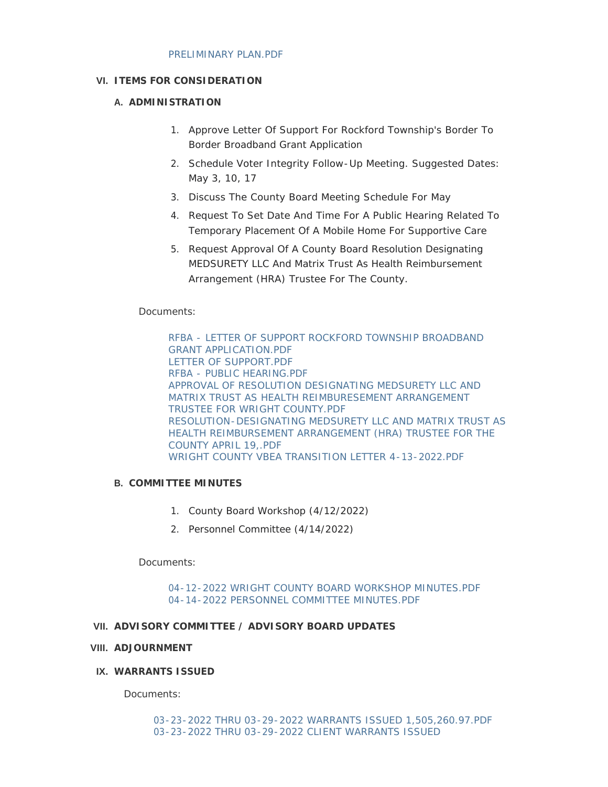### **ITEMS FOR CONSIDERATION VI.**

### **A. ADMINISTRATION**

- 1. Approve Letter Of Support For Rockford Township's Border To Border Broadband Grant Application
- 2. Schedule Voter Integrity Follow-Up Meeting. Suggested Dates: May 3, 10, 17
- 3. Discuss The County Board Meeting Schedule For May
- 4. Request To Set Date And Time For A Public Hearing Related To Temporary Placement Of A Mobile Home For Supportive Care
- 5. Request Approval Of A County Board Resolution Designating MEDSURETY LLC And Matrix Trust As Health Reimbursement Arrangement (HRA) Trustee For The County.

# Documents:

[RFBA - LETTER OF SUPPORT ROCKFORD TOWNSHIP BROADBAND](https://www.co.wright.mn.us/AgendaCenter/ViewFile/Item/10577?fileID=22966)  GRANT APPLICATION.PDF [LETTER OF SUPPORT.PDF](https://www.co.wright.mn.us/AgendaCenter/ViewFile/Item/10577?fileID=22968) [RFBA - PUBLIC HEARING.PDF](https://www.co.wright.mn.us/AgendaCenter/ViewFile/Item/10577?fileID=22973) [APPROVAL OF RESOLUTION DESIGNATING MEDSURETY LLC AND](https://www.co.wright.mn.us/AgendaCenter/ViewFile/Item/10577?fileID=22983)  MATRIX TRUST AS HEALTH REIMBURESEMENT ARRANGEMENT TRUSTEE FOR WRIGHT COUNTY.PDF [RESOLUTION-DESIGNATING MEDSURETY LLC AND MATRIX TRUST AS](https://www.co.wright.mn.us/AgendaCenter/ViewFile/Item/10577?fileID=22984)  HEALTH REIMBURSEMENT ARRANGEMENT (HRA) TRUSTEE FOR THE COUNTY APRIL 19,.PDF [WRIGHT COUNTY VBEA TRANSITION LETTER 4-13-2022.PDF](https://www.co.wright.mn.us/AgendaCenter/ViewFile/Item/10577?fileID=22985)

# **COMMITTEE MINUTES B.**

- 1. County Board Workshop (4/12/2022)
- 2. Personnel Committee (4/14/2022)

Documents:

[04-12-2022 WRIGHT COUNTY BOARD WORKSHOP MINUTES.PDF](https://www.co.wright.mn.us/AgendaCenter/ViewFile/Item/10533?fileID=22976) [04-14-2022 PERSONNEL COMMITTEE MINUTES.PDF](https://www.co.wright.mn.us/AgendaCenter/ViewFile/Item/10533?fileID=22987)

# **ADVISORY COMMITTEE / ADVISORY BOARD UPDATES VII.**

# **ADJOURNMENT VIII.**

# **WARRANTS ISSUED IX.**

Documents: